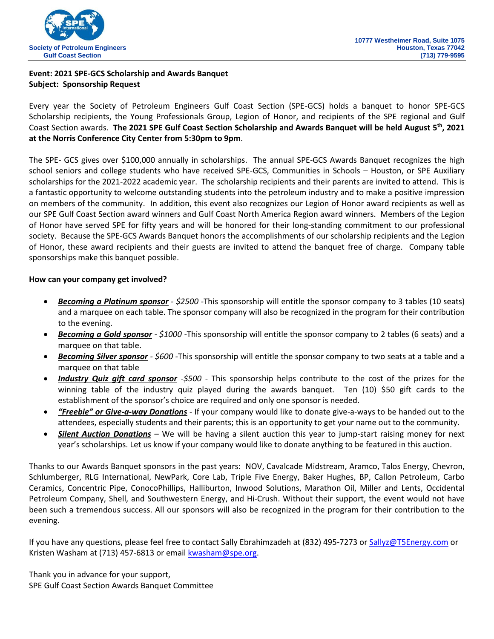

# **Event: 2021 SPE-GCS Scholarship and Awards Banquet Subject: Sponsorship Request**

Every year the Society of Petroleum Engineers Gulf Coast Section (SPE-GCS) holds a banquet to honor SPE-GCS Scholarship recipients, the Young Professionals Group, Legion of Honor, and recipients of the SPE regional and Gulf Coast Section awards. **The 2021 SPE Gulf Coast Section Scholarship and Awards Banquet will be held August 5 th, 2021 at the Norris Conference City Center from 5:30pm to 9pm**.

The SPE- GCS gives over \$100,000 annually in scholarships. The annual SPE-GCS Awards Banquet recognizes the high school seniors and college students who have received SPE-GCS, Communities in Schools – Houston, or SPE Auxiliary scholarships for the 2021-2022 academic year. The scholarship recipients and their parents are invited to attend. This is a fantastic opportunity to welcome outstanding students into the petroleum industry and to make a positive impression on members of the community. In addition, this event also recognizes our Legion of Honor award recipients as well as our SPE Gulf Coast Section award winners and Gulf Coast North America Region award winners. Members of the Legion of Honor have served SPE for fifty years and will be honored for their long-standing commitment to our professional society. Because the SPE-GCS Awards Banquet honors the accomplishments of our scholarship recipients and the Legion of Honor, these award recipients and their guests are invited to attend the banquet free of charge. Company table sponsorships make this banquet possible.

## **How can your company get involved?**

- *Becoming a Platinum sponsor - \$2500 -*This sponsorship will entitle the sponsor company to 3 tables (10 seats) and a marquee on each table. The sponsor company will also be recognized in the program for their contribution to the evening.
- *Becoming a Gold sponsor - \$1000 -*This sponsorship will entitle the sponsor company to 2 tables (6 seats) and a marquee on that table.
- *Becoming Silver sponsor - \$600 -*This sponsorship will entitle the sponsor company to two seats at a table and a marquee on that table
- *Industry Quiz gift card sponsor -\$500 -* This sponsorship helps contribute to the cost of the prizes for the winning table of the industry quiz played during the awards banquet. Ten (10) \$50 gift cards to the establishment of the sponsor's choice are required and only one sponsor is needed.
- *"Freebie" or Give-a-way Donations -* If your company would like to donate give-a-ways to be handed out to the attendees, especially students and their parents; this is an opportunity to get your name out to the community.
- *Silent Auction Donations –* We will be having a silent auction this year to jump-start raising money for next year's scholarships. Let us know if your company would like to donate anything to be featured in this auction.

Thanks to our Awards Banquet sponsors in the past years: NOV, Cavalcade Midstream, Aramco, Talos Energy, Chevron, Schlumberger, RLG International, NewPark, Core Lab, Triple Five Energy, Baker Hughes, BP, Callon Petroleum, Carbo Ceramics, Concentric Pipe, ConocoPhillips, Halliburton, Inwood Solutions, Marathon Oil, Miller and Lents, Occidental Petroleum Company, Shell, and Southwestern Energy, and Hi-Crush. Without their support, the event would not have been such a tremendous success. All our sponsors will also be recognized in the program for their contribution to the evening.

If you have any questions, please feel free to contact Sally Ebrahimzadeh at (832) 495-7273 o[r Sallyz@T5Energy.com](mailto:Sallyz@T5Energy.com) or Kristen Washam at (713) 457-6813 or email **kwasham@spe.org**.

Thank you in advance for your support, SPE Gulf Coast Section Awards Banquet Committee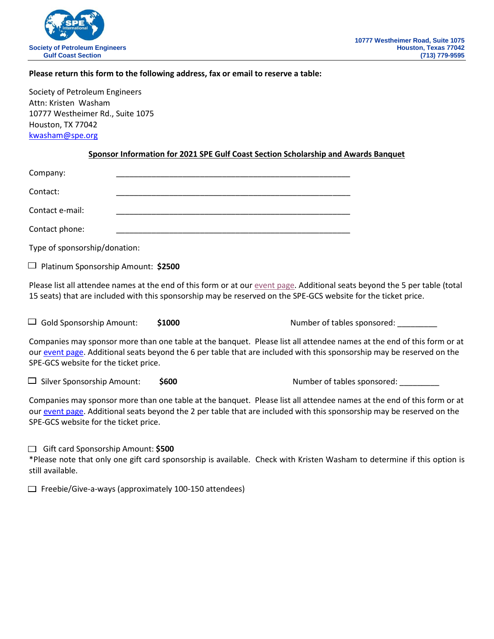

## **Please return this form to the following address, fax or email to reserve a table:**

Society of Petroleum Engineers Attn: Kristen Washam 10777 Westheimer Rd., Suite 1075 Houston, TX 77042 [kwasham@spe.org](mailto:kwasham@spe.org)

#### **Sponsor Information for 2021 SPE Gulf Coast Section Scholarship and Awards Banquet**

| Company:        |  |
|-----------------|--|
| Contact:        |  |
| Contact e-mail: |  |
| Contact phone:  |  |

Type of sponsorship/donation:

Platinum Sponsorship Amount: **\$2500**

Please list all attendee names at the end of this form or at ou[r event page.](https://www.spegcs.org/events/6026/) Additional seats beyond the 5 per table (total 15 seats) that are included with this sponsorship may be reserved on the SPE-GCS website for the ticket price.

Gold Sponsorship Amount: **\$1000** Number of tables sponsored: \_\_\_\_\_\_\_\_\_

Companies may sponsor more than one table at the banquet. Please list all attendee names at the end of this form or at our [event page.](https://www.spegcs.org/events/6026/) Additional seats beyond the 6 per table that are included with this sponsorship may be reserved on the SPE-GCS website for the ticket price.

Silver Sponsorship Amount: **\$600** Number of tables sponsored: \_\_\_\_\_\_\_\_\_

Companies may sponsor more than one table at the banquet. Please list all attendee names at the end of this form or at our [event page.](https://www.spegcs.org/events/6026/) Additional seats beyond the 2 per table that are included with this sponsorship may be reserved on the SPE-GCS website for the ticket price.

Gift card Sponsorship Amount: **\$500**

\*Please note that only one gift card sponsorship is available. Check with Kristen Washam to determine if this option is still available.

 $\Box$  Freebie/Give-a-ways (approximately 100-150 attendees)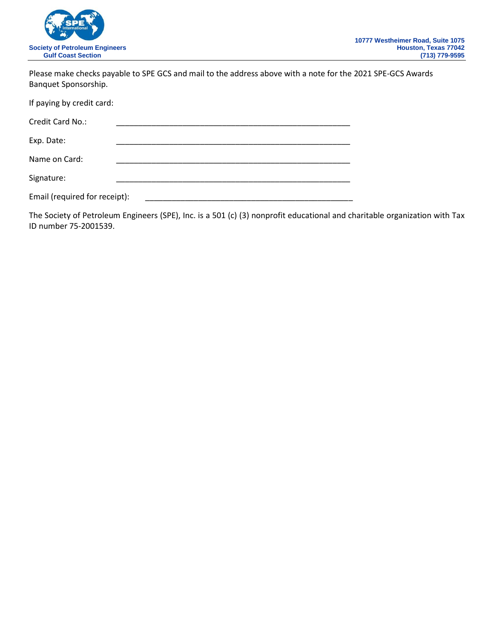

Please make checks payable to SPE GCS and mail to the address above with a note for the 2021 SPE-GCS Awards Banquet Sponsorship.

| If paying by credit card:     |  |  |  |
|-------------------------------|--|--|--|
| Credit Card No.:              |  |  |  |
| Exp. Date:                    |  |  |  |
| Name on Card:                 |  |  |  |
| Signature:                    |  |  |  |
| Email (required for receipt): |  |  |  |

The Society of Petroleum Engineers (SPE), Inc. is a 501 (c) (3) nonprofit educational and charitable organization with Tax ID number 75-2001539.